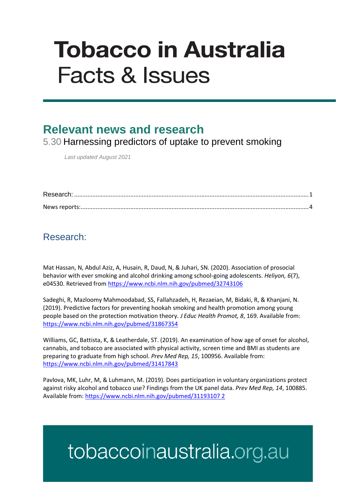# **Tobacco in Australia Facts & Issues**

### **Relevant news and research**

5.30 Harnessing predictors of uptake to prevent smoking

*Last updated August 2021*

#### <span id="page-0-0"></span>Research:

Mat Hassan, N, Abdul Aziz, A, Husain, R, Daud, N, & Juhari, SN. (2020). Association of prosocial behavior with ever smoking and alcohol drinking among school-going adolescents. *Heliyon, 6*(7), e04530. Retrieved fro[m https://www.ncbi.nlm.nih.gov/pubmed/32743106](https://www.ncbi.nlm.nih.gov/pubmed/32743106)

Sadeghi, R, Mazloomy Mahmoodabad, SS, Fallahzadeh, H, Rezaeian, M, Bidaki, R, & Khanjani, N. (2019). Predictive factors for preventing hookah smoking and health promotion among young people based on the protection motivation theory. *J Educ Health Promot, 8*, 169. Available from: <https://www.ncbi.nlm.nih.gov/pubmed/31867354>

Williams, GC, Battista, K, & Leatherdale, ST. (2019). An examination of how age of onset for alcohol, cannabis, and tobacco are associated with physical activity, screen time and BMI as students are preparing to graduate from high school. *Prev Med Rep, 15*, 100956. Available from: <https://www.ncbi.nlm.nih.gov/pubmed/31417843>

Pavlova, MK, Luhr, M, & Luhmann, M. (2019). Does participation in voluntary organizations protect against risky alcohol and tobacco use? Findings from the UK panel data. *Prev Med Rep, 14*, 100885. Available from[: https://www.ncbi.nlm.nih.gov/pubmed/31193107 2](https://www.ncbi.nlm.nih.gov/pubmed/31193107%202)

## tobaccoinaustralia.org.au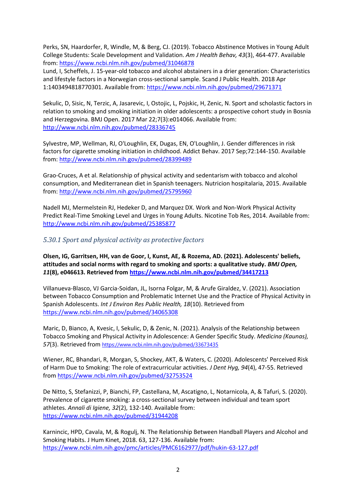Perks, SN, Haardorfer, R, Windle, M, & Berg, CJ. (2019). Tobacco Abstinence Motives in Young Adult College Students: Scale Development and Validation. *Am J Health Behav, 43*(3), 464-477. Available from:<https://www.ncbi.nlm.nih.gov/pubmed/31046878>

Lund, I, Scheffels, J. 15-year-old tobacco and alcohol abstainers in a drier generation: Characteristics and lifestyle factors in a Norwegian cross-sectional sample. Scand J Public Health. 2018 Apr 1:1403494818770301. Available from[: https://www.ncbi.nlm.nih.gov/pubmed/29671371](https://www.ncbi.nlm.nih.gov/pubmed/29671371)

Sekulic, D, Sisic, N, Terzic, A, Jasarevic, I, Ostojic, L, Pojskic, H, Zenic, N. Sport and scholastic factors in relation to smoking and smoking initiation in older adolescents: a prospective cohort study in Bosnia and Herzegovina. BMJ Open. 2017 Mar 22;7(3):e014066. Available from: <http://www.ncbi.nlm.nih.gov/pubmed/28336745>

Sylvestre, MP, Wellman, RJ, O'Loughlin, EK, Dugas, EN, O'Loughlin, J. Gender differences in risk factors for cigarette smoking initiation in childhood. Addict Behav. 2017 Sep;72:144-150. Available from:<http://www.ncbi.nlm.nih.gov/pubmed/28399489>

Grao-Cruces, A et al. Relationship of physical activity and sedentarism with tobacco and alcohol consumption, and Mediterranean diet in Spanish teenagers. Nutricion hospitalaria, 2015. Available from:<http://www.ncbi.nlm.nih.gov/pubmed/25795960>

Nadell MJ, Mermelstein RJ, Hedeker D, and Marquez DX. Work and Non-Work Physical Activity Predict Real-Time Smoking Level and Urges in Young Adults. Nicotine Tob Res, 2014. Available from: <http://www.ncbi.nlm.nih.gov/pubmed/25385877>

*5.30.1 Sport and physical activity as protective factors*

**Olsen, IG, Garritsen, HH, van de Goor, I, Kunst, AE, & Rozema, AD. (2021). Adolescents' beliefs, attitudes and social norms with regard to smoking and sports: a qualitative study.** *BMJ Open, 11***(8), e046613. Retrieved from<https://www.ncbi.nlm.nih.gov/pubmed/34417213>**

Villanueva-Blasco, VJ Garcia-Soidan, JL, Isorna Folgar, M, & Arufe Giraldez, V. (2021). Association between Tobacco Consumption and Problematic Internet Use and the Practice of Physical Activity in Spanish Adolescents. *Int J Environ Res Public Health, 18*(10). Retrieved from <https://www.ncbi.nlm.nih.gov/pubmed/34065308>

Maric, D, Bianco, A, Kvesic, I, Sekulic, D, & Zenic, N. (2021). Analysis of the Relationship between Tobacco Smoking and Physical Activity in Adolescence: A Gender Specific Study. *Medicina (Kaunas), 57*(3). Retrieved from <https://www.ncbi.nlm.nih.gov/pubmed/33673435>

Wiener, RC, Bhandari, R, Morgan, S, Shockey, AKT, & Waters, C. (2020). Adolescents' Perceived Risk of Harm Due to Smoking: The role of extracurricular activities. *J Dent Hyg, 94*(4), 47-55. Retrieved from<https://www.ncbi.nlm.nih.gov/pubmed/32753524>

De Nitto, S, Stefanizzi, P, Bianchi, FP, Castellana, M, Ascatigno, L, Notarnicola, A, & Tafuri, S. (2020). Prevalence of cigarette smoking: a cross-sectional survey between individual and team sport athletes. *Annali di Igiene, 32*(2), 132-140. Available from: <https://www.ncbi.nlm.nih.gov/pubmed/31944208>

Karnincic, HPD, Cavala, M, & Rogulj, N. The Relationship Between Handball Players and Alcohol and Smoking Habits. J Hum Kinet, 2018. 63, 127-136. Available from: <https://www.ncbi.nlm.nih.gov/pmc/articles/PMC6162977/pdf/hukin-63-127.pdf>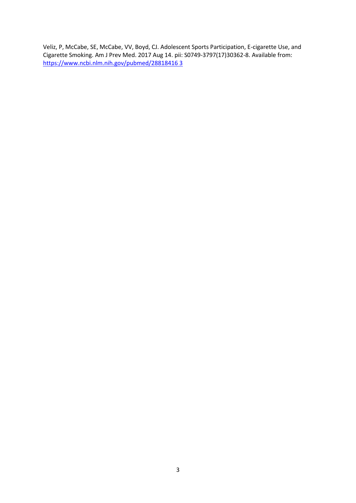Veliz, P, McCabe, SE, McCabe, VV, Boyd, CJ. Adolescent Sports Participation, E-cigarette Use, and Cigarette Smoking. Am J Prev Med. 2017 Aug 14. pii: S0749-3797(17)30362-8. Available from: [https://www.ncbi.nlm.nih.gov/pubmed/28818416 3](https://www.ncbi.nlm.nih.gov/pubmed/28818416%203)